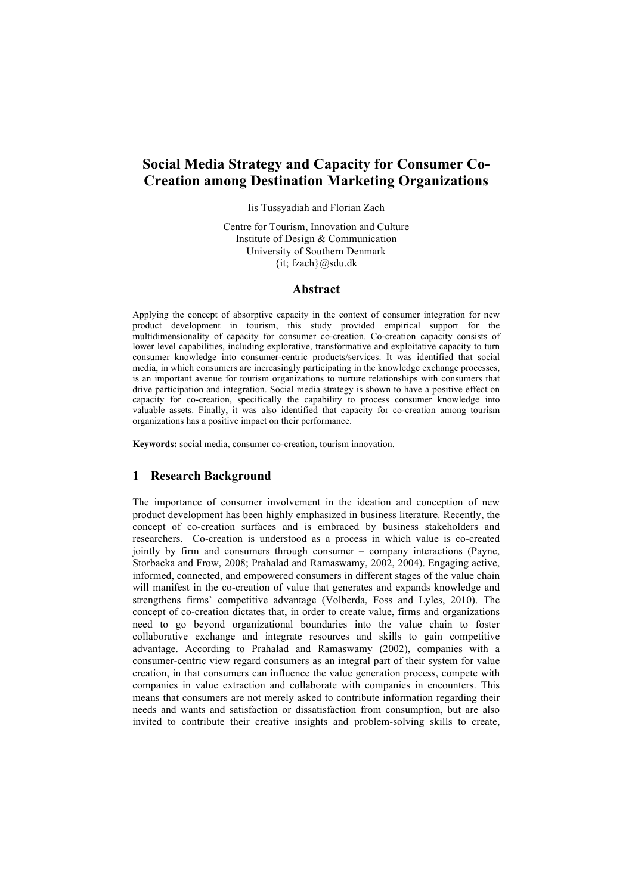# **Social Media Strategy and Capacity for Consumer Co-Creation among Destination Marketing Organizations**

Iis Tussyadiah and Florian Zach

Centre for Tourism, Innovation and Culture Institute of Design & Communication University of Southern Denmark {it; fzach}@sdu.dk

### **Abstract**

Applying the concept of absorptive capacity in the context of consumer integration for new product development in tourism, this study provided empirical support for the multidimensionality of capacity for consumer co-creation. Co-creation capacity consists of lower level capabilities, including explorative, transformative and exploitative capacity to turn consumer knowledge into consumer-centric products/services. It was identified that social media, in which consumers are increasingly participating in the knowledge exchange processes, is an important avenue for tourism organizations to nurture relationships with consumers that drive participation and integration. Social media strategy is shown to have a positive effect on capacity for co-creation, specifically the capability to process consumer knowledge into valuable assets. Finally, it was also identified that capacity for co-creation among tourism organizations has a positive impact on their performance.

**Keywords:** social media, consumer co-creation, tourism innovation.

### **1 Research Background**

The importance of consumer involvement in the ideation and conception of new product development has been highly emphasized in business literature. Recently, the concept of co-creation surfaces and is embraced by business stakeholders and researchers. Co-creation is understood as a process in which value is co-created jointly by firm and consumers through consumer – company interactions (Payne, Storbacka and Frow, 2008; Prahalad and Ramaswamy, 2002, 2004). Engaging active, informed, connected, and empowered consumers in different stages of the value chain will manifest in the co-creation of value that generates and expands knowledge and strengthens firms' competitive advantage (Volberda, Foss and Lyles, 2010). The concept of co-creation dictates that, in order to create value, firms and organizations need to go beyond organizational boundaries into the value chain to foster collaborative exchange and integrate resources and skills to gain competitive advantage. According to Prahalad and Ramaswamy (2002), companies with a consumer-centric view regard consumers as an integral part of their system for value creation, in that consumers can influence the value generation process, compete with companies in value extraction and collaborate with companies in encounters. This means that consumers are not merely asked to contribute information regarding their needs and wants and satisfaction or dissatisfaction from consumption, but are also invited to contribute their creative insights and problem-solving skills to create,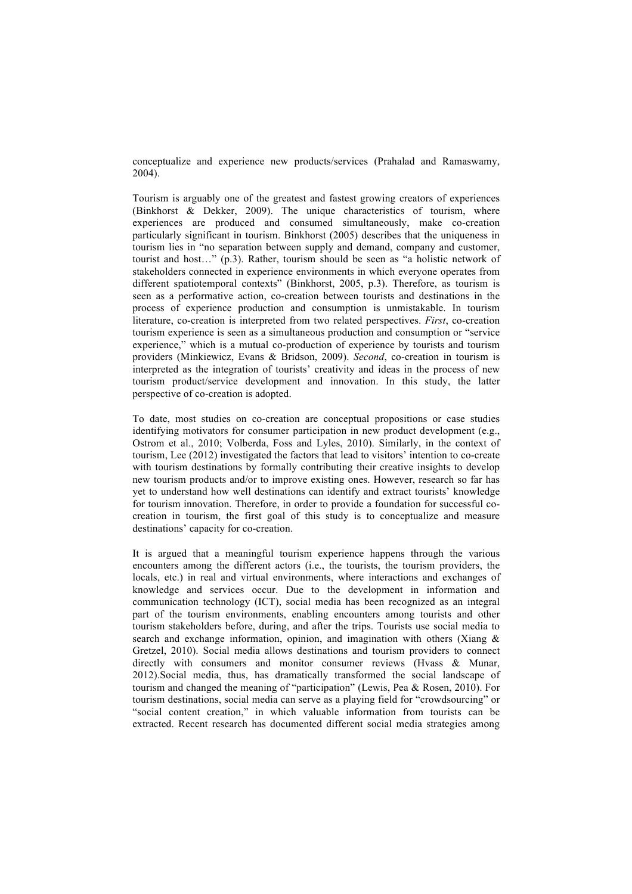conceptualize and experience new products/services (Prahalad and Ramaswamy, 2004).

Tourism is arguably one of the greatest and fastest growing creators of experiences (Binkhorst & Dekker, 2009). The unique characteristics of tourism, where experiences are produced and consumed simultaneously, make co-creation particularly significant in tourism. Binkhorst (2005) describes that the uniqueness in tourism lies in "no separation between supply and demand, company and customer, tourist and host…" (p.3). Rather, tourism should be seen as "a holistic network of stakeholders connected in experience environments in which everyone operates from different spatiotemporal contexts" (Binkhorst, 2005, p.3). Therefore, as tourism is seen as a performative action, co-creation between tourists and destinations in the process of experience production and consumption is unmistakable. In tourism literature, co-creation is interpreted from two related perspectives. *First*, co-creation tourism experience is seen as a simultaneous production and consumption or "service experience," which is a mutual co-production of experience by tourists and tourism providers (Minkiewicz, Evans & Bridson, 2009). *Second*, co-creation in tourism is interpreted as the integration of tourists' creativity and ideas in the process of new tourism product/service development and innovation. In this study, the latter perspective of co-creation is adopted.

To date, most studies on co-creation are conceptual propositions or case studies identifying motivators for consumer participation in new product development (e.g., Ostrom et al., 2010; Volberda, Foss and Lyles, 2010). Similarly, in the context of tourism, Lee (2012) investigated the factors that lead to visitors' intention to co-create with tourism destinations by formally contributing their creative insights to develop new tourism products and/or to improve existing ones. However, research so far has yet to understand how well destinations can identify and extract tourists' knowledge for tourism innovation. Therefore, in order to provide a foundation for successful cocreation in tourism, the first goal of this study is to conceptualize and measure destinations' capacity for co-creation.

It is argued that a meaningful tourism experience happens through the various encounters among the different actors (i.e., the tourists, the tourism providers, the locals, etc.) in real and virtual environments, where interactions and exchanges of knowledge and services occur. Due to the development in information and communication technology (ICT), social media has been recognized as an integral part of the tourism environments, enabling encounters among tourists and other tourism stakeholders before, during, and after the trips. Tourists use social media to search and exchange information, opinion, and imagination with others (Xiang & Gretzel, 2010). Social media allows destinations and tourism providers to connect directly with consumers and monitor consumer reviews (Hvass & Munar, 2012).Social media, thus, has dramatically transformed the social landscape of tourism and changed the meaning of "participation" (Lewis, Pea & Rosen, 2010). For tourism destinations, social media can serve as a playing field for "crowdsourcing" or "social content creation," in which valuable information from tourists can be extracted. Recent research has documented different social media strategies among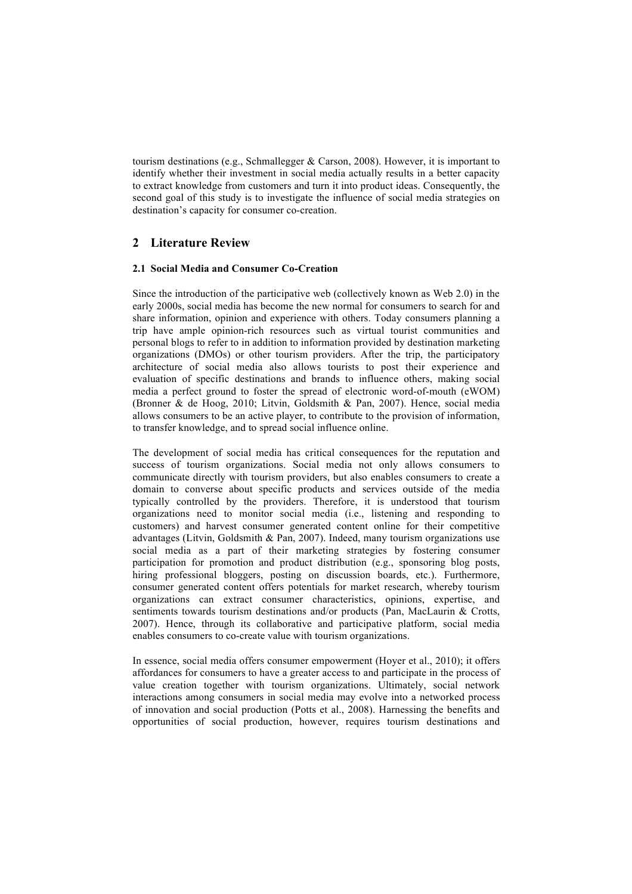tourism destinations (e.g., Schmallegger & Carson, 2008). However, it is important to identify whether their investment in social media actually results in a better capacity to extract knowledge from customers and turn it into product ideas. Consequently, the second goal of this study is to investigate the influence of social media strategies on destination's capacity for consumer co-creation.

# **2 Literature Review**

#### **2.1 Social Media and Consumer Co-Creation**

Since the introduction of the participative web (collectively known as Web 2.0) in the early 2000s, social media has become the new normal for consumers to search for and share information, opinion and experience with others. Today consumers planning a trip have ample opinion-rich resources such as virtual tourist communities and personal blogs to refer to in addition to information provided by destination marketing organizations (DMOs) or other tourism providers. After the trip, the participatory architecture of social media also allows tourists to post their experience and evaluation of specific destinations and brands to influence others, making social media a perfect ground to foster the spread of electronic word-of-mouth (eWOM) (Bronner & de Hoog, 2010; Litvin, Goldsmith & Pan, 2007). Hence, social media allows consumers to be an active player, to contribute to the provision of information, to transfer knowledge, and to spread social influence online.

The development of social media has critical consequences for the reputation and success of tourism organizations. Social media not only allows consumers to communicate directly with tourism providers, but also enables consumers to create a domain to converse about specific products and services outside of the media typically controlled by the providers. Therefore, it is understood that tourism organizations need to monitor social media (i.e., listening and responding to customers) and harvest consumer generated content online for their competitive advantages (Litvin, Goldsmith & Pan, 2007). Indeed, many tourism organizations use social media as a part of their marketing strategies by fostering consumer participation for promotion and product distribution (e.g., sponsoring blog posts, hiring professional bloggers, posting on discussion boards, etc.). Furthermore, consumer generated content offers potentials for market research, whereby tourism organizations can extract consumer characteristics, opinions, expertise, and sentiments towards tourism destinations and/or products (Pan, MacLaurin & Crotts, 2007). Hence, through its collaborative and participative platform, social media enables consumers to co-create value with tourism organizations.

In essence, social media offers consumer empowerment (Hoyer et al., 2010); it offers affordances for consumers to have a greater access to and participate in the process of value creation together with tourism organizations. Ultimately, social network interactions among consumers in social media may evolve into a networked process of innovation and social production (Potts et al., 2008). Harnessing the benefits and opportunities of social production, however, requires tourism destinations and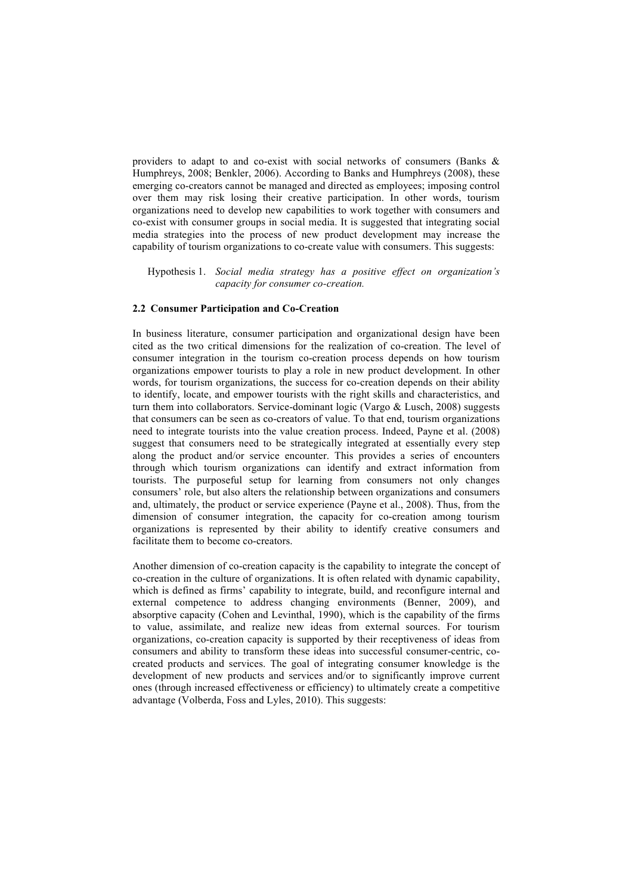providers to adapt to and co-exist with social networks of consumers (Banks  $\&$ Humphreys, 2008; Benkler, 2006). According to Banks and Humphreys (2008), these emerging co-creators cannot be managed and directed as employees; imposing control over them may risk losing their creative participation. In other words, tourism organizations need to develop new capabilities to work together with consumers and co-exist with consumer groups in social media. It is suggested that integrating social media strategies into the process of new product development may increase the capability of tourism organizations to co-create value with consumers. This suggests:

#### Hypothesis 1. *Social media strategy has a positive effect on organization's capacity for consumer co-creation.*

#### **2.2 Consumer Participation and Co-Creation**

In business literature, consumer participation and organizational design have been cited as the two critical dimensions for the realization of co-creation. The level of consumer integration in the tourism co-creation process depends on how tourism organizations empower tourists to play a role in new product development. In other words, for tourism organizations, the success for co-creation depends on their ability to identify, locate, and empower tourists with the right skills and characteristics, and turn them into collaborators. Service-dominant logic (Vargo & Lusch, 2008) suggests that consumers can be seen as co-creators of value. To that end, tourism organizations need to integrate tourists into the value creation process. Indeed, Payne et al. (2008) suggest that consumers need to be strategically integrated at essentially every step along the product and/or service encounter. This provides a series of encounters through which tourism organizations can identify and extract information from tourists. The purposeful setup for learning from consumers not only changes consumers' role, but also alters the relationship between organizations and consumers and, ultimately, the product or service experience (Payne et al., 2008). Thus, from the dimension of consumer integration, the capacity for co-creation among tourism organizations is represented by their ability to identify creative consumers and facilitate them to become co-creators.

Another dimension of co-creation capacity is the capability to integrate the concept of co-creation in the culture of organizations. It is often related with dynamic capability, which is defined as firms' capability to integrate, build, and reconfigure internal and external competence to address changing environments (Benner, 2009), and absorptive capacity (Cohen and Levinthal, 1990), which is the capability of the firms to value, assimilate, and realize new ideas from external sources. For tourism organizations, co-creation capacity is supported by their receptiveness of ideas from consumers and ability to transform these ideas into successful consumer-centric, cocreated products and services. The goal of integrating consumer knowledge is the development of new products and services and/or to significantly improve current ones (through increased effectiveness or efficiency) to ultimately create a competitive advantage (Volberda, Foss and Lyles, 2010). This suggests: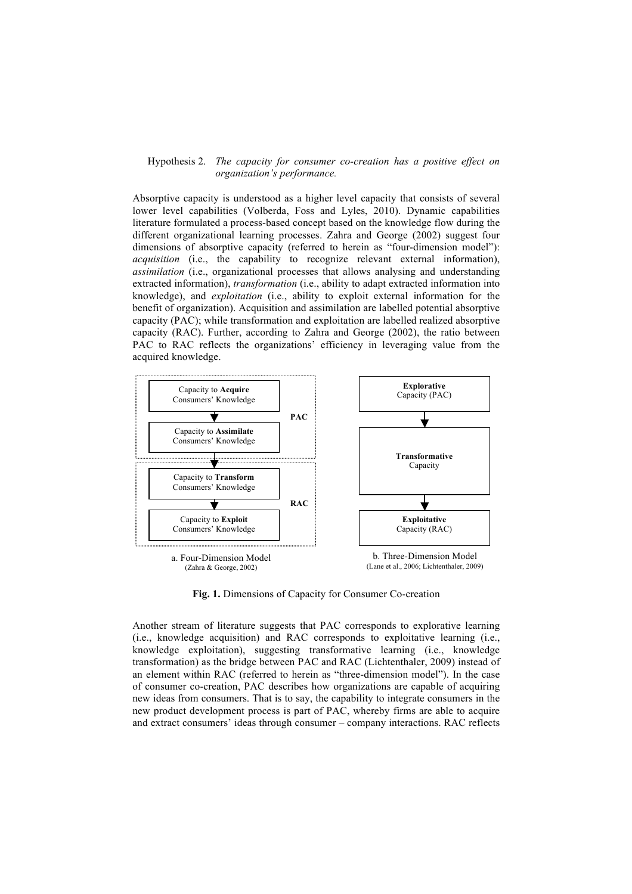#### Hypothesis 2. *The capacity for consumer co-creation has a positive effect on organization's performance.*

Absorptive capacity is understood as a higher level capacity that consists of several lower level capabilities (Volberda, Foss and Lyles, 2010). Dynamic capabilities literature formulated a process-based concept based on the knowledge flow during the different organizational learning processes. Zahra and George (2002) suggest four dimensions of absorptive capacity (referred to herein as "four-dimension model"): *acquisition* (i.e., the capability to recognize relevant external information), *assimilation* (i.e., organizational processes that allows analysing and understanding extracted information), *transformation* (i.e., ability to adapt extracted information into knowledge), and *exploitation* (i.e., ability to exploit external information for the benefit of organization). Acquisition and assimilation are labelled potential absorptive capacity (PAC); while transformation and exploitation are labelled realized absorptive capacity (RAC). Further, according to Zahra and George (2002), the ratio between PAC to RAC reflects the organizations' efficiency in leveraging value from the acquired knowledge.



Fig. 1. Dimensions of Capacity for Consumer Co-creation

Another stream of literature suggests that PAC corresponds to explorative learning (i.e., knowledge acquisition) and RAC corresponds to exploitative learning (i.e., knowledge exploitation), suggesting transformative learning (i.e., knowledge transformation) as the bridge between PAC and RAC (Lichtenthaler, 2009) instead of an element within RAC (referred to herein as "three-dimension model"). In the case of consumer co-creation, PAC describes how organizations are capable of acquiring new ideas from consumers. That is to say, the capability to integrate consumers in the new product development process is part of PAC, whereby firms are able to acquire and extract consumers' ideas through consumer – company interactions. RAC reflects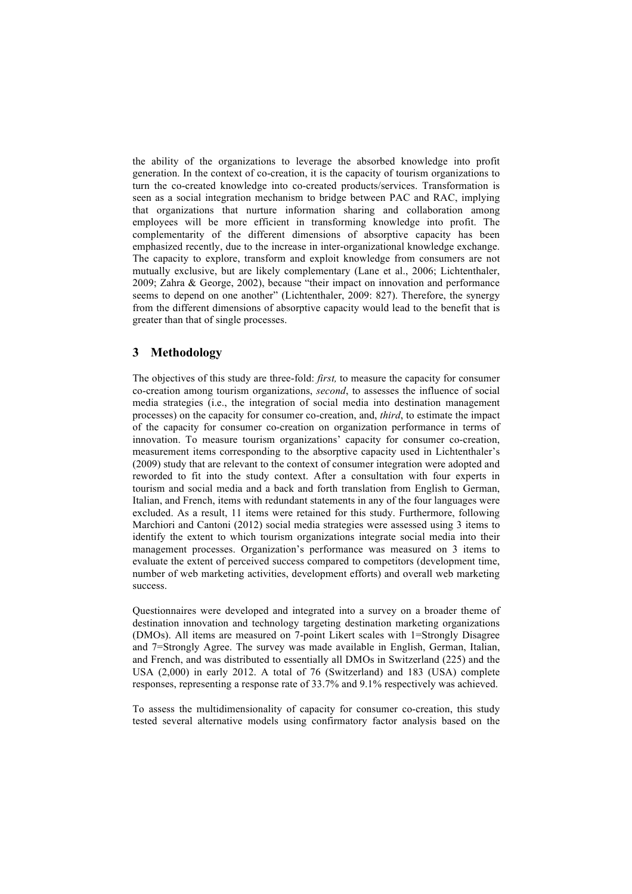the ability of the organizations to leverage the absorbed knowledge into profit generation. In the context of co-creation, it is the capacity of tourism organizations to turn the co-created knowledge into co-created products/services. Transformation is seen as a social integration mechanism to bridge between PAC and RAC, implying that organizations that nurture information sharing and collaboration among employees will be more efficient in transforming knowledge into profit. The complementarity of the different dimensions of absorptive capacity has been emphasized recently, due to the increase in inter-organizational knowledge exchange. The capacity to explore, transform and exploit knowledge from consumers are not mutually exclusive, but are likely complementary (Lane et al., 2006; Lichtenthaler, 2009; Zahra & George, 2002), because "their impact on innovation and performance seems to depend on one another" (Lichtenthaler, 2009: 827). Therefore, the synergy from the different dimensions of absorptive capacity would lead to the benefit that is greater than that of single processes.

### **3 Methodology**

The objectives of this study are three-fold: *first,* to measure the capacity for consumer co-creation among tourism organizations, *second*, to assesses the influence of social media strategies (i.e., the integration of social media into destination management processes) on the capacity for consumer co-creation, and, *third*, to estimate the impact of the capacity for consumer co-creation on organization performance in terms of innovation. To measure tourism organizations' capacity for consumer co-creation, measurement items corresponding to the absorptive capacity used in Lichtenthaler's (2009) study that are relevant to the context of consumer integration were adopted and reworded to fit into the study context. After a consultation with four experts in tourism and social media and a back and forth translation from English to German, Italian, and French, items with redundant statements in any of the four languages were excluded. As a result, 11 items were retained for this study. Furthermore, following Marchiori and Cantoni (2012) social media strategies were assessed using 3 items to identify the extent to which tourism organizations integrate social media into their management processes. Organization's performance was measured on 3 items to evaluate the extent of perceived success compared to competitors (development time, number of web marketing activities, development efforts) and overall web marketing success.

Questionnaires were developed and integrated into a survey on a broader theme of destination innovation and technology targeting destination marketing organizations (DMOs). All items are measured on 7-point Likert scales with 1=Strongly Disagree and 7=Strongly Agree. The survey was made available in English, German, Italian, and French, and was distributed to essentially all DMOs in Switzerland (225) and the USA (2,000) in early 2012. A total of 76 (Switzerland) and 183 (USA) complete responses, representing a response rate of 33.7% and 9.1% respectively was achieved.

To assess the multidimensionality of capacity for consumer co-creation, this study tested several alternative models using confirmatory factor analysis based on the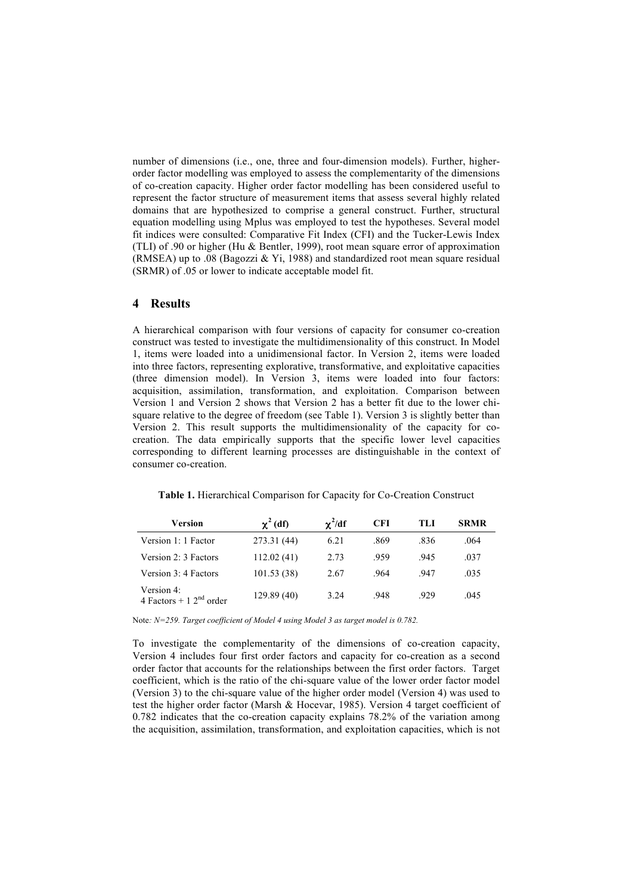number of dimensions (i.e., one, three and four-dimension models). Further, higherorder factor modelling was employed to assess the complementarity of the dimensions of co-creation capacity. Higher order factor modelling has been considered useful to represent the factor structure of measurement items that assess several highly related domains that are hypothesized to comprise a general construct. Further, structural equation modelling using Mplus was employed to test the hypotheses. Several model fit indices were consulted: Comparative Fit Index (CFI) and the Tucker-Lewis Index (TLI) of .90 or higher (Hu & Bentler, 1999), root mean square error of approximation (RMSEA) up to .08 (Bagozzi  $&$  Yi, 1988) and standardized root mean square residual (SRMR) of .05 or lower to indicate acceptable model fit.

#### **4 Results**

A hierarchical comparison with four versions of capacity for consumer co-creation construct was tested to investigate the multidimensionality of this construct. In Model 1, items were loaded into a unidimensional factor. In Version 2, items were loaded into three factors, representing explorative, transformative, and exploitative capacities (three dimension model). In Version 3, items were loaded into four factors: acquisition, assimilation, transformation, and exploitation. Comparison between Version 1 and Version 2 shows that Version 2 has a better fit due to the lower chisquare relative to the degree of freedom (see Table 1). Version 3 is slightly better than Version 2. This result supports the multidimensionality of the capacity for cocreation. The data empirically supports that the specific lower level capacities corresponding to different learning processes are distinguishable in the context of consumer co-creation.

| Version                                 | $\chi^2$ (df) | $\chi^2/df$ | CFI  | TLI  | <b>SRMR</b> |
|-----------------------------------------|---------------|-------------|------|------|-------------|
| Version 1: 1 Factor                     | 273.31 (44)   | 6.21        | .869 | .836 | .064        |
| Version 2: 3 Factors                    | 112.02(41)    | 2.73        | .959 | .945 | .037        |
| Version 3: 4 Factors                    | 101.53(38)    | 2.67        | .964 | .947 | .035        |
| Version 4:<br>4 Factors + 1 $2nd$ order | 129.89(40)    | 3.24        | .948 | 929  | .045        |

**Table 1.** Hierarchical Comparison for Capacity for Co-Creation Construct

Note*: N=259. Target coefficient of Model 4 using Model 3 as target model is 0.782.*

To investigate the complementarity of the dimensions of co-creation capacity, Version 4 includes four first order factors and capacity for co-creation as a second order factor that accounts for the relationships between the first order factors. Target coefficient, which is the ratio of the chi-square value of the lower order factor model (Version 3) to the chi-square value of the higher order model (Version 4) was used to test the higher order factor (Marsh & Hocevar, 1985). Version 4 target coefficient of 0.782 indicates that the co-creation capacity explains 78.2% of the variation among the acquisition, assimilation, transformation, and exploitation capacities, which is not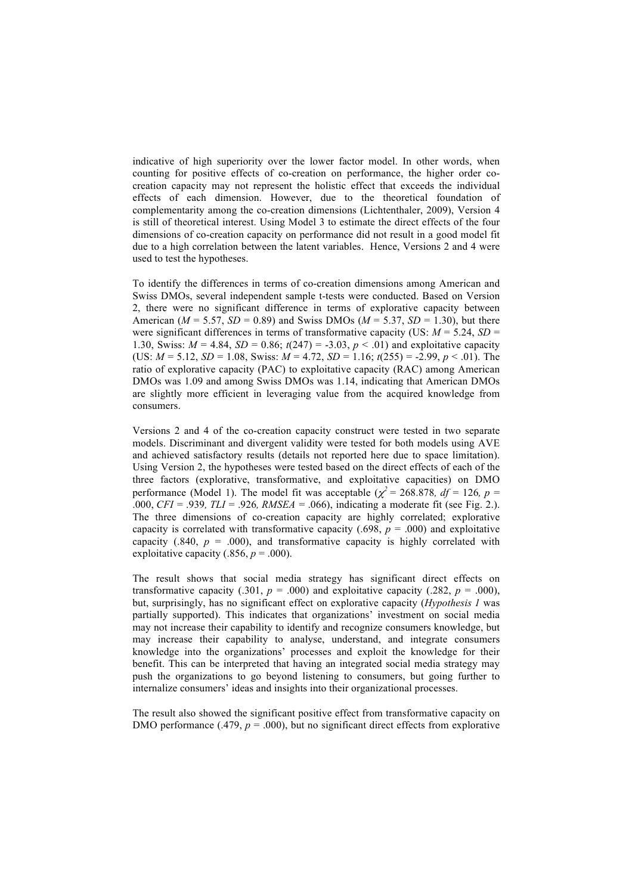indicative of high superiority over the lower factor model. In other words, when counting for positive effects of co-creation on performance, the higher order cocreation capacity may not represent the holistic effect that exceeds the individual effects of each dimension. However, due to the theoretical foundation of complementarity among the co-creation dimensions (Lichtenthaler, 2009), Version 4 is still of theoretical interest. Using Model 3 to estimate the direct effects of the four dimensions of co-creation capacity on performance did not result in a good model fit due to a high correlation between the latent variables. Hence, Versions 2 and 4 were used to test the hypotheses.

To identify the differences in terms of co-creation dimensions among American and Swiss DMOs, several independent sample t-tests were conducted. Based on Version 2, there were no significant difference in terms of explorative capacity between American ( $M = 5.57$ ,  $SD = 0.89$ ) and Swiss DMOs ( $M = 5.37$ ,  $SD = 1.30$ ), but there were significant differences in terms of transformative capacity (US:  $M = 5.24$ ,  $SD =$ 1.30, Swiss:  $M = 4.84$ ,  $SD = 0.86$ ;  $t(247) = -3.03$ ,  $p < .01$ ) and exploitative capacity (US:  $M = 5.12$ ,  $SD = 1.08$ , Swiss:  $M = 4.72$ ,  $SD = 1.16$ ;  $t(255) = -2.99$ ,  $p < .01$ ). The ratio of explorative capacity (PAC) to exploitative capacity (RAC) among American DMOs was 1.09 and among Swiss DMOs was 1.14, indicating that American DMOs are slightly more efficient in leveraging value from the acquired knowledge from consumers.

Versions 2 and 4 of the co-creation capacity construct were tested in two separate models. Discriminant and divergent validity were tested for both models using AVE and achieved satisfactory results (details not reported here due to space limitation). Using Version 2, the hypotheses were tested based on the direct effects of each of the three factors (explorative, transformative, and exploitative capacities) on DMO performance (Model 1). The model fit was acceptable ( $\chi^2$  = 268.878*, df* = 126*, p* = .000, *CFI =* .939*, TLI =* .926*, RMSEA =* .066), indicating a moderate fit (see Fig. 2.). The three dimensions of co-creation capacity are highly correlated; explorative capacity is correlated with transformative capacity (.698,  $p = .000$ ) and exploitative capacity (.840,  $p = .000$ ), and transformative capacity is highly correlated with exploitative capacity (.856,  $p = .000$ ).

The result shows that social media strategy has significant direct effects on transformative capacity (.301,  $p = .000$ ) and exploitative capacity (.282,  $p = .000$ ), but, surprisingly, has no significant effect on explorative capacity (*Hypothesis 1* was partially supported). This indicates that organizations' investment on social media may not increase their capability to identify and recognize consumers knowledge, but may increase their capability to analyse, understand, and integrate consumers knowledge into the organizations' processes and exploit the knowledge for their benefit. This can be interpreted that having an integrated social media strategy may push the organizations to go beyond listening to consumers, but going further to internalize consumers' ideas and insights into their organizational processes.

The result also showed the significant positive effect from transformative capacity on DMO performance  $(.479, p = .000)$ , but no significant direct effects from explorative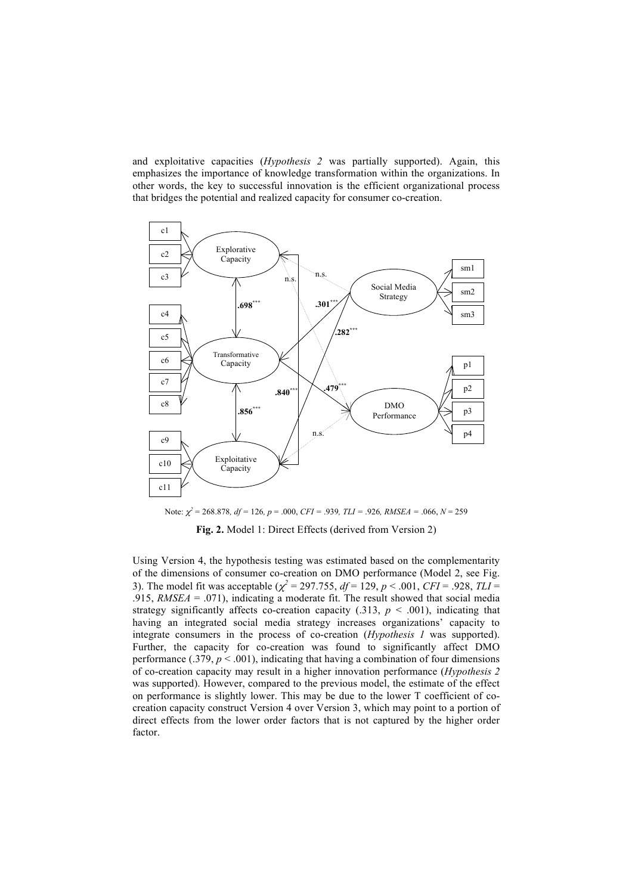and exploitative capacities (*Hypothesis 2* was partially supported). Again, this emphasizes the importance of knowledge transformation within the organizations. In other words, the key to successful innovation is the efficient organizational process that bridges the potential and realized capacity for consumer co-creation.



Note: <sup>χ</sup> *2 =* 268.878*, df =* 126*, p* = .000, *CFI =* .939*, TLI =* .926*, RMSEA =* .066, *N* = 259 **Fig. 2.** Model 1: Direct Effects (derived from Version 2)

Using Version 4, the hypothesis testing was estimated based on the complementarity of the dimensions of consumer co-creation on DMO performance (Model 2, see Fig. 3). The model fit was acceptable ( $\chi^2$  = 297.755, *df* = 129, *p* < .001, *CFI* = .928, *TLI* = .915, *RMSEA* = .071), indicating a moderate fit. The result showed that social media strategy significantly affects co-creation capacity  $(.313, p \lt .001)$ , indicating that having an integrated social media strategy increases organizations' capacity to integrate consumers in the process of co-creation (*Hypothesis 1* was supported). Further, the capacity for co-creation was found to significantly affect DMO performance (.379,  $p < .001$ ), indicating that having a combination of four dimensions of co-creation capacity may result in a higher innovation performance (*Hypothesis 2* was supported). However, compared to the previous model, the estimate of the effect on performance is slightly lower. This may be due to the lower T coefficient of cocreation capacity construct Version 4 over Version 3, which may point to a portion of direct effects from the lower order factors that is not captured by the higher order factor.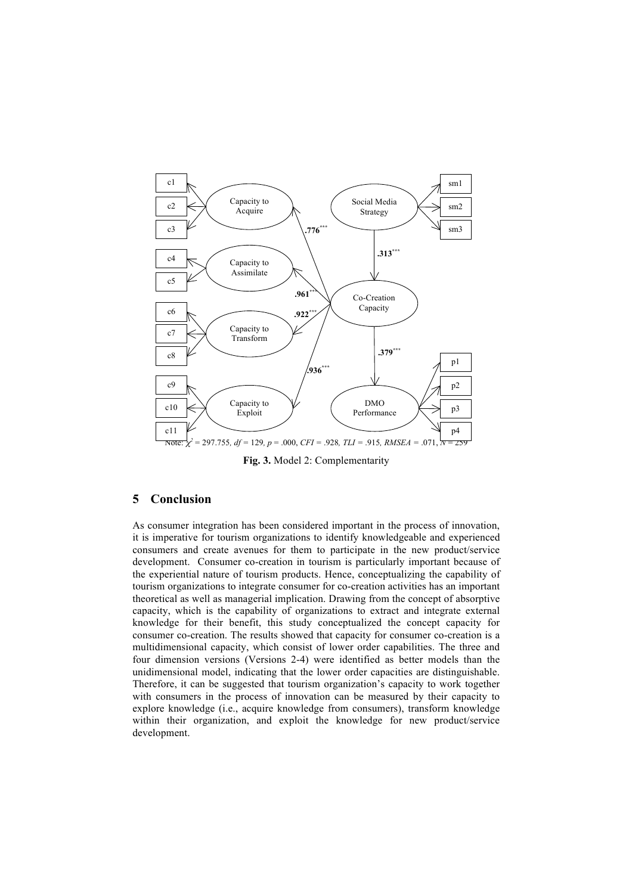

**Fig. 3.** Model 2: Complementarity

## **5 Conclusion**

As consumer integration has been considered important in the process of innovation, it is imperative for tourism organizations to identify knowledgeable and experienced consumers and create avenues for them to participate in the new product/service development. Consumer co-creation in tourism is particularly important because of the experiential nature of tourism products. Hence, conceptualizing the capability of tourism organizations to integrate consumer for co-creation activities has an important theoretical as well as managerial implication. Drawing from the concept of absorptive capacity, which is the capability of organizations to extract and integrate external knowledge for their benefit, this study conceptualized the concept capacity for consumer co-creation. The results showed that capacity for consumer co-creation is a multidimensional capacity, which consist of lower order capabilities. The three and four dimension versions (Versions 2-4) were identified as better models than the unidimensional model, indicating that the lower order capacities are distinguishable. Therefore, it can be suggested that tourism organization's capacity to work together with consumers in the process of innovation can be measured by their capacity to explore knowledge (i.e., acquire knowledge from consumers), transform knowledge within their organization, and exploit the knowledge for new product/service development.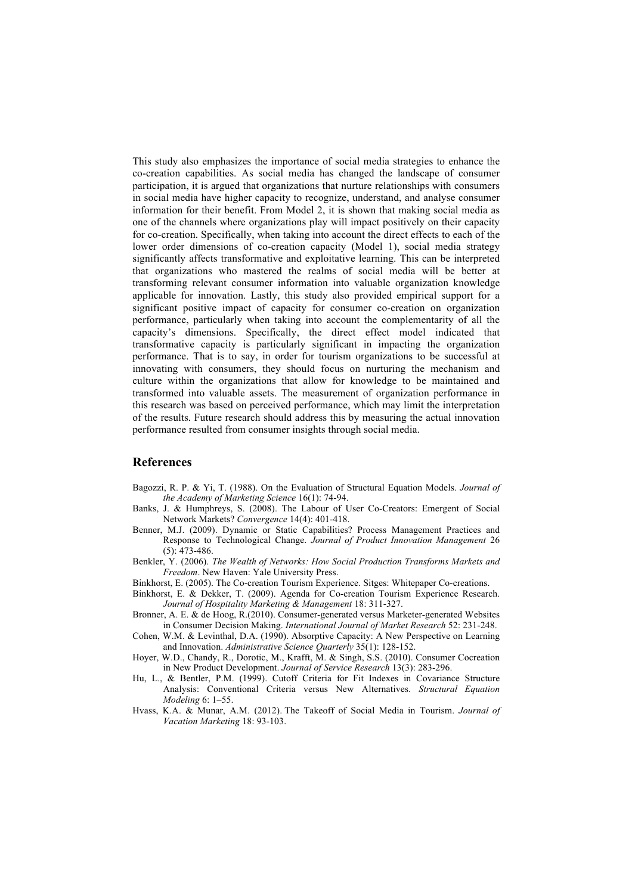This study also emphasizes the importance of social media strategies to enhance the co-creation capabilities. As social media has changed the landscape of consumer participation, it is argued that organizations that nurture relationships with consumers in social media have higher capacity to recognize, understand, and analyse consumer information for their benefit. From Model 2, it is shown that making social media as one of the channels where organizations play will impact positively on their capacity for co-creation. Specifically, when taking into account the direct effects to each of the lower order dimensions of co-creation capacity (Model 1), social media strategy significantly affects transformative and exploitative learning. This can be interpreted that organizations who mastered the realms of social media will be better at transforming relevant consumer information into valuable organization knowledge applicable for innovation. Lastly, this study also provided empirical support for a significant positive impact of capacity for consumer co-creation on organization performance, particularly when taking into account the complementarity of all the capacity's dimensions. Specifically, the direct effect model indicated that transformative capacity is particularly significant in impacting the organization performance. That is to say, in order for tourism organizations to be successful at innovating with consumers, they should focus on nurturing the mechanism and culture within the organizations that allow for knowledge to be maintained and transformed into valuable assets. The measurement of organization performance in this research was based on perceived performance, which may limit the interpretation of the results. Future research should address this by measuring the actual innovation performance resulted from consumer insights through social media.

## **References**

- Bagozzi, R. P. & Yi, T. (1988). On the Evaluation of Structural Equation Models. *Journal of the Academy of Marketing Science* 16(1): 74-94.
- Banks, J. & Humphreys, S. (2008). The Labour of User Co-Creators: Emergent of Social Network Markets? *Convergence* 14(4): 401-418.
- Benner, M.J. (2009). Dynamic or Static Capabilities? Process Management Practices and Response to Technological Change. *Journal of Product Innovation Management* 26 (5): 473-486.
- Benkler, Y. (2006). *The Wealth of Networks: How Social Production Transforms Markets and Freedom*. New Haven: Yale University Press.
- Binkhorst, E. (2005). The Co-creation Tourism Experience. Sitges: Whitepaper Co-creations.
- Binkhorst, E. & Dekker, T. (2009). Agenda for Co-creation Tourism Experience Research. *Journal of Hospitality Marketing & Management* 18: 311-327.
- Bronner, A. E. & de Hoog, R.(2010). Consumer-generated versus Marketer-generated Websites in Consumer Decision Making. *International Journal of Market Research* 52: 231-248.
- Cohen, W.M. & Levinthal, D.A. (1990). Absorptive Capacity: A New Perspective on Learning and Innovation. *Administrative Science Quarterly* 35(1): 128-152.
- Hoyer, W.D., Chandy, R., Dorotic, M., Krafft, M. & Singh, S.S. (2010). Consumer Cocreation in New Product Development. *Journal of Service Research* 13(3): 283-296.
- Hu, L., & Bentler, P.M. (1999). Cutoff Criteria for Fit Indexes in Covariance Structure Analysis: Conventional Criteria versus New Alternatives. *Structural Equation Modeling* 6: 1–55.
- Hvass, K.A. & Munar, A.M. (2012). The Takeoff of Social Media in Tourism. *Journal of Vacation Marketing* 18: 93-103.